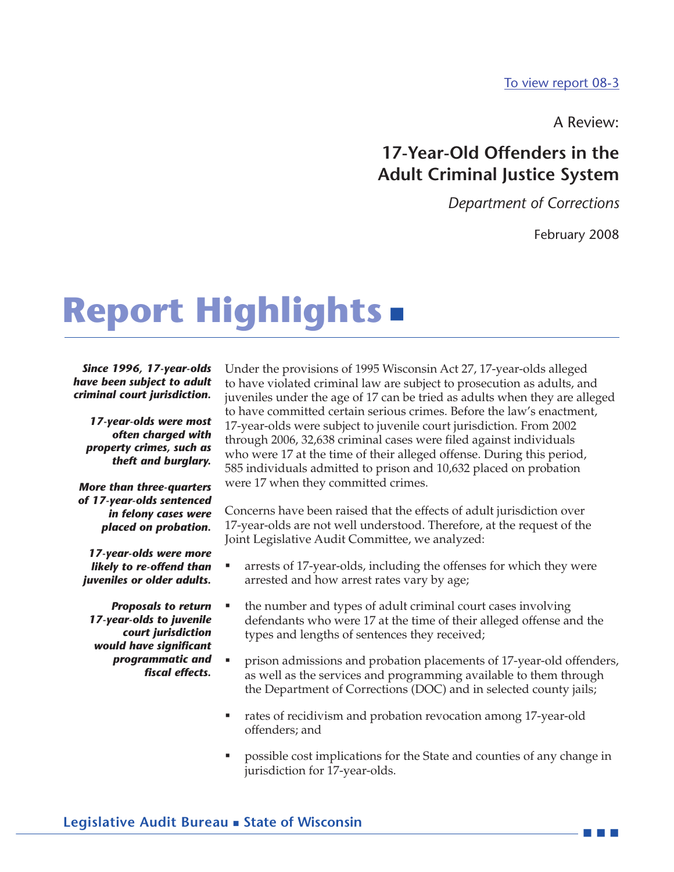[To view report 08-3](08-3Full.pdf)

A Review:

# **17-Year-Old Offenders in the Adult Criminal Justice System**

*Department of Corrections*

February 2008

---

# **Report Highlights** -

*Since 1996, 17-year-olds have been subject to adult criminal court jurisdiction.*

*17-year-olds were most often charged with property crimes, such as theft and burglary.*

#### *More than three-quarters of 17-year-olds sentenced in felony cases were placed on probation.*

*17-year-olds were more likely to re-offend than juveniles or older adults.*

*Proposals to return 17-year-olds to juvenile court jurisdiction would have significant programmatic and fiscal effects.*

Under the provisions of 1995 Wisconsin Act 27, 17-year-olds alleged to have violated criminal law are subject to prosecution as adults, and juveniles under the age of 17 can be tried as adults when they are alleged to have committed certain serious crimes. Before the law's enactment, 17-year-olds were subject to juvenile court jurisdiction. From 2002 through 2006, 32,638 criminal cases were filed against individuals who were 17 at the time of their alleged offense. During this period, 585 individuals admitted to prison and 10,632 placed on probation were 17 when they committed crimes.

Concerns have been raised that the effects of adult jurisdiction over 17-year-olds are not well understood. Therefore, at the request of the Joint Legislative Audit Committee, we analyzed:

- arrests of 17-year-olds, including the offenses for which they were arrested and how arrest rates vary by age;
- the number and types of adult criminal court cases involving defendants who were 17 at the time of their alleged offense and the types and lengths of sentences they received;
- prison admissions and probation placements of 17-year-old offenders, as well as the services and programming available to them through the Department of Corrections (DOC) and in selected county jails;
- rates of recidivism and probation revocation among 17-year-old offenders; and
- possible cost implications for the State and counties of any change in jurisdiction for 17-year-olds.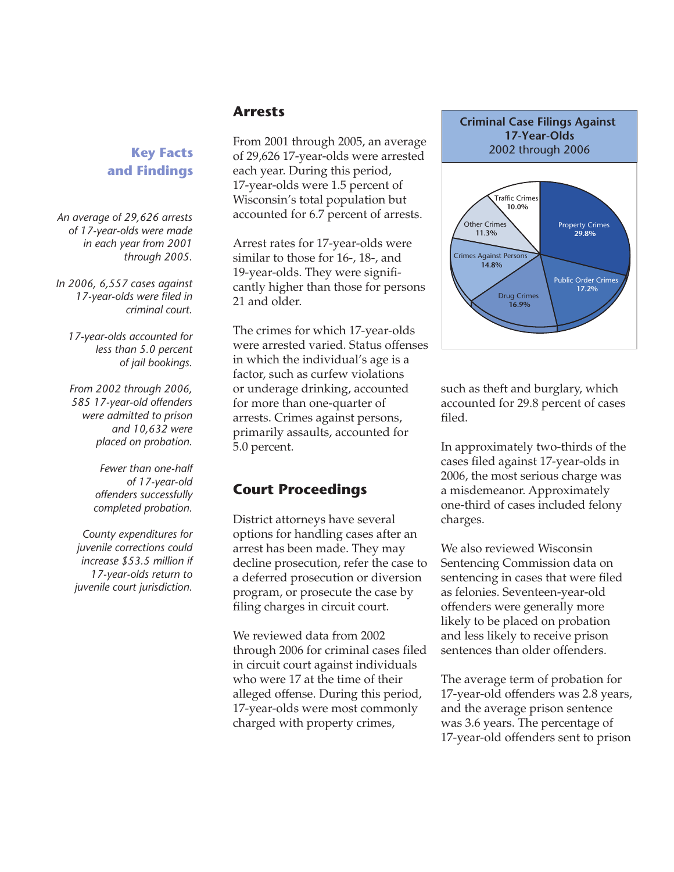#### **Arrests**

**Key Facts and Findings**

*An average of 29,626 arrests of 17-year-olds were made in each year from 2001 through 2005.*

*In 2006, 6,557 cases against 17-year-olds were filed in criminal court.*

*17-year-olds accounted for less than 5.0 percent of jail bookings.*

*From 2002 through 2006, 585 17-year-old offenders were admitted to prison and 10,632 were placed on probation.*

> *Fewer than one-half of 17-year-old offenders successfully completed probation.*

*County expenditures for juvenile corrections could increase \$53.5 million if 17-year-olds return to juvenile court jurisdiction.*

From 2001 through 2005, an average of 29,626 17-year-olds were arrested each year. During this period, 17-year-olds were 1.5 percent of Wisconsin's total population but accounted for 6.7 percent of arrests.

Arrest rates for 17-year-olds were similar to those for 16-, 18-, and 19-year-olds. They were significantly higher than those for persons 21 and older.

The crimes for which 17-year-olds were arrested varied. Status offenses in which the individual's age is a factor, such as curfew violations or underage drinking, accounted for more than one-quarter of arrests. Crimes against persons, primarily assaults, accounted for 5.0 percent.

## **Court Proceedings**

District attorneys have several options for handling cases after an arrest has been made. They may decline prosecution, refer the case to a deferred prosecution or diversion program, or prosecute the case by filing charges in circuit court.

We reviewed data from 2002 through 2006 for criminal cases filed in circuit court against individuals who were 17 at the time of their alleged offense. During this period, 17-year-olds were most commonly charged with property crimes,





such as theft and burglary, which accounted for 29.8 percent of cases filed.

In approximately two-thirds of the cases filed against 17-year-olds in 2006, the most serious charge was a misdemeanor. Approximately one-third of cases included felony charges.

We also reviewed Wisconsin Sentencing Commission data on sentencing in cases that were filed as felonies. Seventeen-year-old offenders were generally more likely to be placed on probation and less likely to receive prison sentences than older offenders.

The average term of probation for 17-year-old offenders was 2.8 years, and the average prison sentence was 3.6 years. The percentage of 17-year-old offenders sent to prison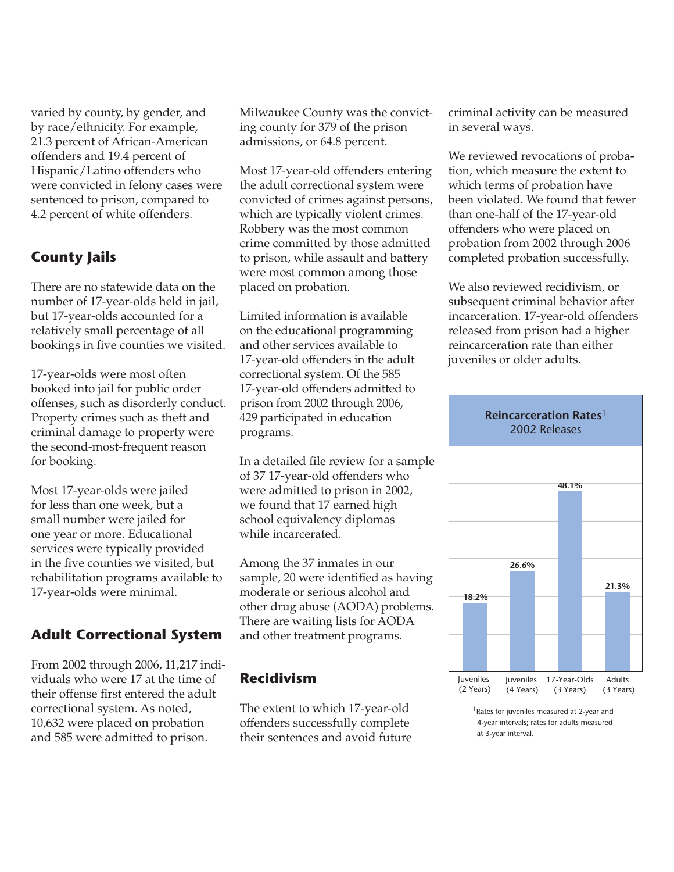varied by county, by gender, and by race/ethnicity. For example, 21.3 percent of African-American offenders and 19.4 percent of Hispanic/Latino offenders who were convicted in felony cases were sentenced to prison, compared to 4.2 percent of white offenders.

# **County Jails**

There are no statewide data on the number of 17-year-olds held in jail, but 17-year-olds accounted for a relatively small percentage of all bookings in five counties we visited.

17-year-olds were most often booked into jail for public order offenses, such as disorderly conduct. Property crimes such as theft and criminal damage to property were the second-most-frequent reason for booking.

Most 17-year-olds were jailed for less than one week, but a small number were jailed for one year or more. Educational services were typically provided in the five counties we visited, but rehabilitation programs available to 17-year-olds were minimal.

#### **Adult Correctional System**

From 2002 through 2006, 11,217 individuals who were 17 at the time of their offense first entered the adult correctional system. As noted, 10,632 were placed on probation and 585 were admitted to prison.

Milwaukee County was the convicting county for 379 of the prison admissions, or 64.8 percent.

Most 17-year-old offenders entering the adult correctional system were convicted of crimes against persons, which are typically violent crimes. Robbery was the most common crime committed by those admitted to prison, while assault and battery were most common among those placed on probation.

Limited information is available on the educational programming and other services available to 17-year-old offenders in the adult correctional system. Of the 585 17-year-old offenders admitted to prison from 2002 through 2006, 429 participated in education programs.

In a detailed file review for a sample of 37 17-year-old offenders who were admitted to prison in 2002, we found that 17 earned high school equivalency diplomas while incarcerated.

Among the 37 inmates in our sample, 20 were identified as having moderate or serious alcohol and other drug abuse (AODA) problems. There are waiting lists for AODA and other treatment programs.

## **Recidivism**

The extent to which 17-year-old offenders successfully complete their sentences and avoid future criminal activity can be measured in several ways.

We reviewed revocations of probation, which measure the extent to which terms of probation have been violated. We found that fewer than one-half of the 17-year-old offenders who were placed on probation from 2002 through 2006 completed probation successfully.

We also reviewed recidivism, or subsequent criminal behavior after incarceration. 17-year-old offenders released from prison had a higher reincarceration rate than either juveniles or older adults.



<sup>&</sup>lt;sup>1</sup> Rates for juveniles measured at 2-year and 4-year intervals; rates for adults measured at 3-year interval.